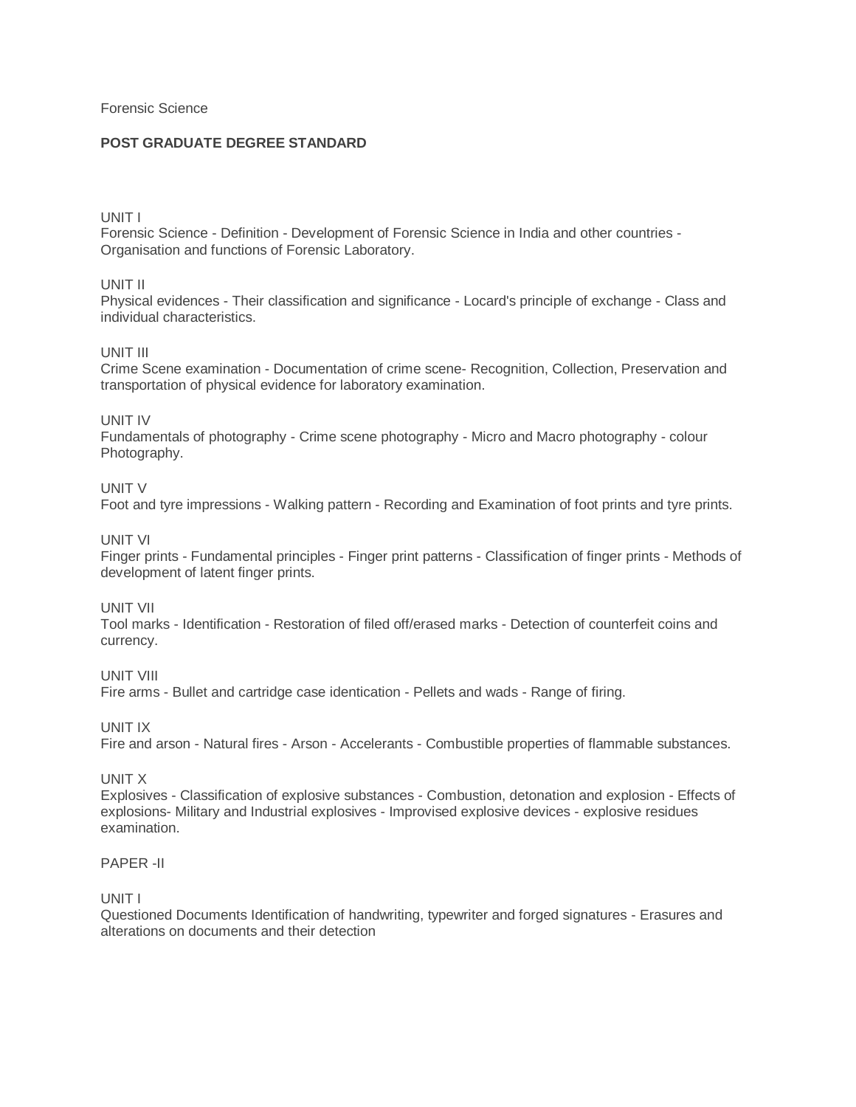Forensic Science

## **POST GRADUATE DEGREE STANDARD**

#### UNIT I

Forensic Science - Definition - Development of Forensic Science in India and other countries - Organisation and functions of Forensic Laboratory.

UNIT II

Physical evidences - Their classification and significance - Locard's principle of exchange - Class and individual characteristics.

## UNIT III

Crime Scene examination - Documentation of crime scene- Recognition, Collection, Preservation and transportation of physical evidence for laboratory examination.

#### UNIT IV

Fundamentals of photography - Crime scene photography - Micro and Macro photography - colour Photography.

## UNIT V

Foot and tyre impressions - Walking pattern - Recording and Examination of foot prints and tyre prints.

#### UNIT VI

Finger prints - Fundamental principles - Finger print patterns - Classification of finger prints - Methods of development of latent finger prints.

### UNIT VII

Tool marks - Identification - Restoration of filed off/erased marks - Detection of counterfeit coins and currency.

UNIT VIII

Fire arms - Bullet and cartridge case identication - Pellets and wads - Range of firing.

UNIT IX

Fire and arson - Natural fires - Arson - Accelerants - Combustible properties of flammable substances.

#### UNIT X

Explosives - Classification of explosive substances - Combustion, detonation and explosion - Effects of explosions- Military and Industrial explosives - Improvised explosive devices - explosive residues examination.

# PAPER -II

### UNIT I

Questioned Documents Identification of handwriting, typewriter and forged signatures - Erasures and alterations on documents and their detection